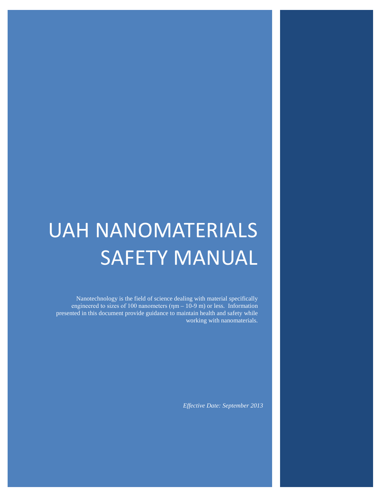# UAH NANOMATERIALS SAFETY MANUAL

Nanotechnology is the field of science dealing with material specifically engineered to sizes of 100 nanometers  $(\eta m - 10-9 \text{ m})$  or less. Information presented in this document provide guidance to maintain health and safety while working with nanomaterials.

*Effective Date: September 2013*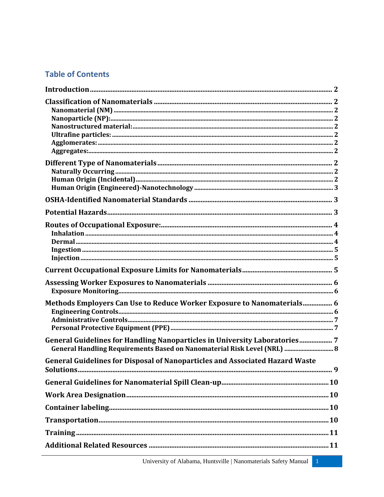# **Table of Contents**

| Methods Employers Can Use to Reduce Worker Exposure to Nanomaterials 6              |  |
|-------------------------------------------------------------------------------------|--|
|                                                                                     |  |
|                                                                                     |  |
| General Guidelines for Handling Nanoparticles in University Laboratories 7          |  |
| General Handling Requirements Based on Nanomaterial Risk Level (NRL)  8             |  |
| <b>General Guidelines for Disposal of Nanoparticles and Associated Hazard Waste</b> |  |
|                                                                                     |  |
|                                                                                     |  |
|                                                                                     |  |
|                                                                                     |  |
|                                                                                     |  |
|                                                                                     |  |
|                                                                                     |  |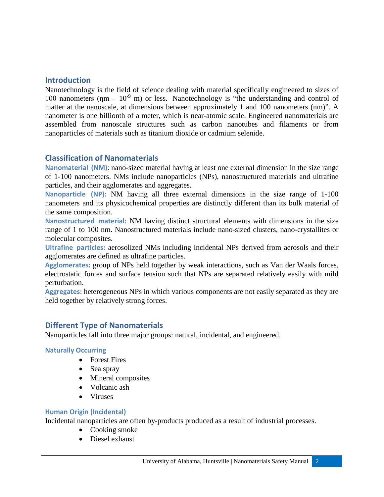# <span id="page-2-0"></span>**Introduction**

Nanotechnology is the field of science dealing with material specifically engineered to sizes of 100 nanometers ( $\eta$ m – 10<sup>-9</sup> m) or less. Nanotechnology is "the understanding and control of matter at the nanoscale, at dimensions between approximately 1 and 100 nanometers (nm)". A nanometer is one billionth of a meter, which is near-atomic scale. Engineered nanomaterials are assembled from nanoscale structures such as carbon nanotubes and filaments or from nanoparticles of materials such as titanium dioxide or cadmium selenide.

# <span id="page-2-1"></span>**Classification of Nanomaterials**

<span id="page-2-2"></span>**Nanomaterial (NM)**: nano-sized material having at least one external dimension in the size range of 1-100 nanometers. NMs include nanoparticles (NPs), nanostructured materials and ultrafine particles, and their agglomerates and aggregates.

<span id="page-2-3"></span>**Nanoparticle (NP):** NM having all three external dimensions in the size range of 1-100 nanometers and its physicochemical properties are distinctly different than its bulk material of the same composition.

<span id="page-2-4"></span>**Nanostructured material:** NM having distinct structural elements with dimensions in the size range of 1 to 100 nm. Nanostructured materials include nano-sized clusters, nano-crystallites or molecular composites.

<span id="page-2-5"></span>**Ultrafine particles:** aerosolized NMs including incidental NPs derived from aerosols and their agglomerates are defined as ultrafine particles.

<span id="page-2-6"></span>**Agglomerates:** group of NPs held together by weak interactions, such as Van der Waals forces, electrostatic forces and surface tension such that NPs are separated relatively easily with mild perturbation.

<span id="page-2-8"></span><span id="page-2-7"></span>**Aggregates:** heterogeneous NPs in which various components are not easily separated as they are held together by relatively strong forces.

## **Different Type of Nanomaterials**

Nanoparticles fall into three major groups: natural, incidental, and engineered.

#### <span id="page-2-9"></span>**Naturally Occurring**

- Forest Fires
- Sea spray
- Mineral composites
- Volcanic ash
- Viruses

#### <span id="page-2-10"></span>**Human Origin (Incidental)**

Incidental nanoparticles are often by-products produced as a result of industrial processes.

- Cooking smoke
- Diesel exhaust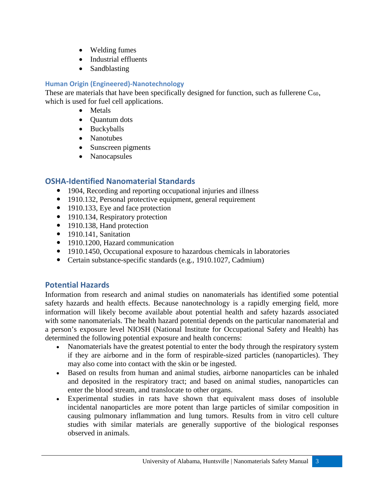- Welding fumes
- Industrial effluents
- Sandblasting

### <span id="page-3-0"></span>**Human Origin (Engineered)-Nanotechnology**

These are materials that have been specifically designed for function, such as fullerene  $C_{60}$ , which is used for fuel cell applications.

- Metals
- Quantum dots
- Buckyballs
- Nanotubes
- Sunscreen pigments
- Nanocapsules

# <span id="page-3-1"></span>**OSHA-Identified Nanomaterial Standards**

- 1904, Recording and reporting occupational injuries and illness
- 1910.132, Personal protective equipment, general requirement
- 1910.133, Eye and face protection
- 1910.134, Respiratory protection
- 1910.138, Hand protection
- $\bullet$  1910.141, Sanitation
- 1910.1200, Hazard communication
- 1910.1450, Occupational exposure to hazardous chemicals in laboratories
- <span id="page-3-2"></span>Certain substance-specific standards (e.g., 1910.1027, Cadmium)

## **Potential Hazards**

Information from research and animal studies on nanomaterials has identified some potential safety hazards and health effects. Because nanotechnology is a rapidly emerging field, more information will likely become available about potential health and safety hazards associated with some nanomaterials. The health hazard potential depends on the particular nanomaterial and a person's exposure level NIOSH (National Institute for Occupational Safety and Health) has determined the following potential exposure and health concerns:

- Nanomaterials have the greatest potential to enter the body through the respiratory system if they are airborne and in the form of respirable-sized particles (nanoparticles). They may also come into contact with the skin or be ingested.
- Based on results from human and animal studies, airborne nanoparticles can be inhaled and deposited in the respiratory tract; and based on animal studies, nanoparticles can enter the blood stream, and translocate to other organs.
- Experimental studies in rats have shown that equivalent mass doses of insoluble incidental nanoparticles are more potent than large particles of similar composition in causing pulmonary inflammation and lung tumors. Results from in vitro cell culture studies with similar materials are generally supportive of the biological responses observed in animals.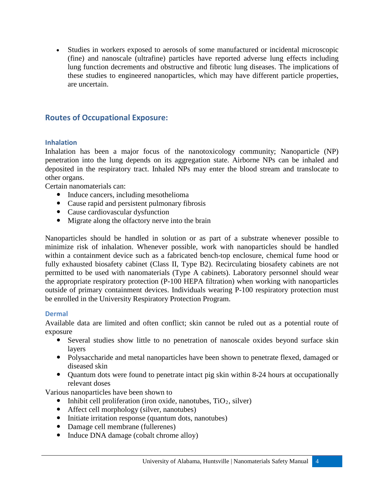<span id="page-4-1"></span>• Studies in workers exposed to aerosols of some manufactured or incidental microscopic (fine) and nanoscale (ultrafine) particles have reported adverse lung effects including lung function decrements and obstructive and fibrotic lung diseases. The implications of these studies to engineered nanoparticles, which may have different particle properties, are uncertain.

## <span id="page-4-0"></span>**Routes of Occupational Exposure:**

#### **Inhalation**

Inhalation has been a major focus of the nanotoxicology community; Nanoparticle (NP) penetration into the lung depends on its aggregation state. Airborne NPs can be inhaled and deposited in the respiratory tract. Inhaled NPs may enter the blood stream and translocate to other organs.

Certain nanomaterials can:

- Induce cancers, including mesothelioma
- Cause rapid and persistent pulmonary fibrosis
- Cause cardiovascular dysfunction
- Migrate along the olfactory nerve into the brain

Nanoparticles should be handled in solution or as part of a substrate whenever possible to minimize risk of inhalation. Whenever possible, work with nanoparticles should be handled within a containment device such as a fabricated bench-top enclosure, chemical fume hood or fully exhausted biosafety cabinet (Class II, Type B2). Recirculating biosafety cabinets are not permitted to be used with nanomaterials (Type A cabinets). Laboratory personnel should wear the appropriate respiratory protection (P-100 HEPA filtration) when working with nanoparticles outside of primary containment devices. Individuals wearing P-100 respiratory protection must be enrolled in the University Respiratory Protection Program.

#### <span id="page-4-2"></span>**Dermal**

Available data are limited and often conflict; skin cannot be ruled out as a potential route of exposure

- Several studies show little to no penetration of nanoscale oxides beyond surface skin layers
- Polysaccharide and metal nanoparticles have been shown to penetrate flexed, damaged or diseased skin
- Quantum dots were found to penetrate intact pig skin within 8-24 hours at occupationally relevant doses

Various nanoparticles have been shown to

- Inhibit cell proliferation (iron oxide, nanotubes,  $TiO<sub>2</sub>$ , silver)
- Affect cell morphology (silver, nanotubes)
- Initiate irritation response (quantum dots, nanotubes)
- Damage cell membrane (fullerenes)
- Induce DNA damage (cobalt chrome alloy)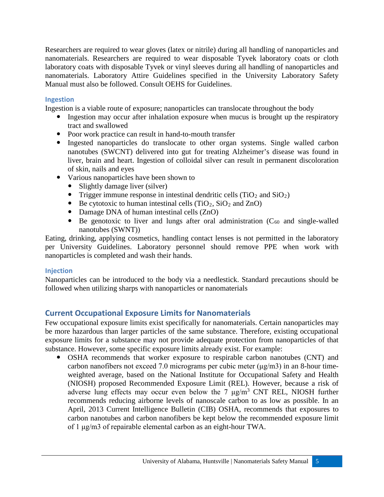Researchers are required to wear gloves (latex or nitrile) during all handling of nanoparticles and nanomaterials. Researchers are required to wear disposable Tyvek laboratory coats or cloth laboratory coats with disposable Tyvek or vinyl sleeves during all handling of nanoparticles and nanomaterials. Laboratory Attire Guidelines specified in the University Laboratory Safety Manual must also be followed. Consult OEHS for Guidelines.

#### <span id="page-5-0"></span>**Ingestion**

Ingestion is a viable route of exposure; nanoparticles can translocate throughout the body

- Ingestion may occur after inhalation exposure when mucus is brought up the respiratory tract and swallowed
- Poor work practice can result in hand-to-mouth transfer
- Ingested nanoparticles do translocate to other organ systems. Single walled carbon nanotubes (SWCNT) delivered into gut for treating Alzheimer's disease was found in liver, brain and heart. Ingestion of colloidal silver can result in permanent discoloration of skin, nails and eyes
- Various nanoparticles have been shown to
	- Slightly damage liver (silver)
	- Trigger immune response in intestinal dendritic cells  $(TiO_2$  and  $SiO_2$ )
	- $\bullet$  Be cytotoxic to human intestinal cells (TiO<sub>2</sub>, SiO<sub>2</sub> and ZnO)
	- Damage DNA of human intestinal cells (ZnO)
	- $\bullet$  Be genotoxic to liver and lungs after oral administration ( $C_{60}$  and single-walled nanotubes (SWNT))

Eating, drinking, applying cosmetics, handling contact lenses is not permitted in the laboratory per University Guidelines. Laboratory personnel should remove PPE when work with nanoparticles is completed and wash their hands.

#### <span id="page-5-1"></span>**Injection**

<span id="page-5-2"></span>Nanoparticles can be introduced to the body via a needlestick. Standard precautions should be followed when utilizing sharps with nanoparticles or nanomaterials

# **Current Occupational Exposure Limits for Nanomaterials**

Few occupational exposure limits exist specifically for nanomaterials. Certain nanoparticles may be more hazardous than larger particles of the same substance. Therefore, existing occupational exposure limits for a substance may not provide adequate protection from nanoparticles of that substance. However, some specific exposure limits already exist. For example:

 OSHA recommends that worker exposure to respirable carbon nanotubes (CNT) and carbon nanofibers not exceed 7.0 micrograms per cubic meter (μg/m3) in an 8-hour timeweighted average, based on the National Institute for Occupational Safety and Health (NIOSH) proposed Recommended Exposure Limit (REL). However, because a risk of adverse lung effects may occur even below the 7  $\mu$ g/m<sup>3</sup> CNT REL, NIOSH further recommends reducing airborne levels of nanoscale carbon to as low as possible. In an April, 2013 Current Intelligence Bulletin (CIB) OSHA, recommends that exposures to carbon nanotubes and carbon nanofibers be kept below the recommended exposure limit of 1 μg/m3 of repairable elemental carbon as an eight-hour TWA.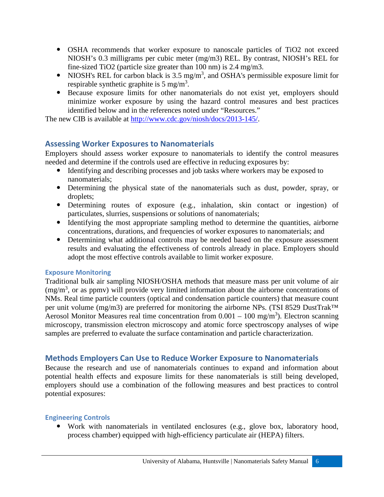- OSHA recommends that worker exposure to nanoscale particles of TiO2 not exceed NIOSH's 0.3 milligrams per cubic meter (mg/m3) REL. By contrast, NIOSH's REL for fine-sized TiO2 (particle size greater than 100 nm) is 2.4 mg/m3.
- NIOSH's REL for carbon black is  $3.5 \text{ mg/m}^3$ , and OSHA's permissible exposure limit for respirable synthetic graphite is  $5 \text{ mg/m}^3$ .
- Because exposure limits for other nanomaterials do not exist yet, employers should minimize worker exposure by using the hazard control measures and best practices identified below and in the references noted under "Resources."

<span id="page-6-0"></span>The new CIB is available at [http://www.cdc.gov/niosh/docs/2013-145/.](http://www.cdc.gov/niosh/docs/2013-145/)

## **Assessing Worker Exposures to Nanomaterials**

Employers should assess worker exposure to nanomaterials to identify the control measures needed and determine if the controls used are effective in reducing exposures by:

- Identifying and describing processes and job tasks where workers may be exposed to nanomaterials;
- Determining the physical state of the nanomaterials such as dust, powder, spray, or droplets;
- Determining routes of exposure (e.g., inhalation, skin contact or ingestion) of particulates, slurries, suspensions or solutions of nanomaterials;
- Identifying the most appropriate sampling method to determine the quantities, airborne concentrations, durations, and frequencies of worker exposures to nanomaterials; and
- Determining what additional controls may be needed based on the exposure assessment results and evaluating the effectiveness of controls already in place. Employers should adopt the most effective controls available to limit worker exposure.

#### <span id="page-6-1"></span>**Exposure Monitoring**

Traditional bulk air sampling NIOSH/OSHA methods that measure mass per unit volume of air  $(mg/m<sup>3</sup>)$ , or as ppmv) will provide very limited information about the airborne concentrations of NMs. Real time particle counters (optical and condensation particle counters) that measure count per unit volume (mg/m3) are preferred for monitoring the airborne NPs. (TSI 8529 DustTrak™ Aerosol Monitor Measures real time concentration from  $0.001 - 100$  mg/m<sup>3</sup>). Electron scanning microscopy, transmission electron microscopy and atomic force spectroscopy analyses of wipe samples are preferred to evaluate the surface contamination and particle characterization.

# <span id="page-6-2"></span>**Methods Employers Can Use to Reduce Worker Exposure to Nanomaterials**

Because the research and use of nanomaterials continues to expand and information about potential health effects and exposure limits for these nanomaterials is still being developed, employers should use a combination of the following measures and best practices to control potential exposures:

#### <span id="page-6-3"></span>**Engineering Controls**

 Work with nanomaterials in ventilated enclosures (e.g., glove box, laboratory hood, process chamber) equipped with high-efficiency particulate air (HEPA) filters.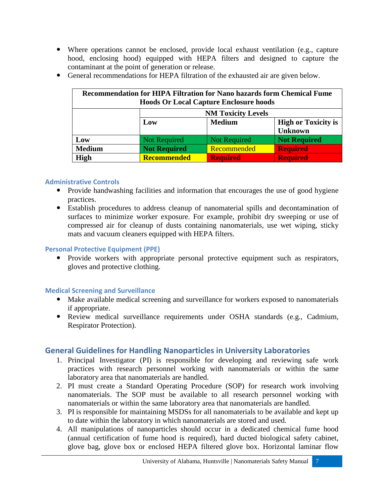- Where operations cannot be enclosed, provide local exhaust ventilation (e.g., capture hood, enclosing hood) equipped with HEPA filters and designed to capture the contaminant at the point of generation or release.
- General recommendations for HEPA filtration of the exhausted air are given below.

| <b>Recommendation for HIPA Filtration for Nano hazards form Chemical Fume</b><br><b>Hoods Or Local Capture Enclosure hoods</b> |                           |                     |                            |  |  |  |
|--------------------------------------------------------------------------------------------------------------------------------|---------------------------|---------------------|----------------------------|--|--|--|
|                                                                                                                                | <b>NM Toxicity Levels</b> |                     |                            |  |  |  |
|                                                                                                                                | Low                       | <b>Medium</b>       | <b>High or Toxicity is</b> |  |  |  |
|                                                                                                                                |                           |                     | <b>Unknown</b>             |  |  |  |
| Low                                                                                                                            | Not Required              | <b>Not Required</b> | <b>Not Required</b>        |  |  |  |
| <b>Medium</b>                                                                                                                  | <b>Not Required</b>       | Recommended         | <b>Required</b>            |  |  |  |
| <b>High</b>                                                                                                                    | <b>Recommended</b>        | <b>Required</b>     | <b>Required</b>            |  |  |  |

#### <span id="page-7-0"></span>**Administrative Controls**

- Provide handwashing facilities and information that encourages the use of good hygiene practices.
- Establish procedures to address cleanup of nanomaterial spills and decontamination of surfaces to minimize worker exposure. For example, prohibit dry sweeping or use of compressed air for cleanup of dusts containing nanomaterials, use wet wiping, sticky mats and vacuum cleaners equipped with HEPA filters.

#### <span id="page-7-1"></span>**Personal Protective Equipment (PPE)**

 Provide workers with appropriate personal protective equipment such as respirators, gloves and protective clothing.

#### **Medical Screening and Surveillance**

- Make available medical screening and surveillance for workers exposed to nanomaterials if appropriate.
- Review medical surveillance requirements under OSHA standards (e.g., Cadmium, Respirator Protection).

# <span id="page-7-2"></span>**General Guidelines for Handling Nanoparticles in University Laboratories**

- 1. Principal Investigator (PI) is responsible for developing and reviewing safe work practices with research personnel working with nanomaterials or within the same laboratory area that nanomaterials are handled.
- 2. PI must create a Standard Operating Procedure (SOP) for research work involving nanomaterials. The SOP must be available to all research personnel working with nanomaterials or within the same laboratory area that nanomaterials are handled.
- 3. PI is responsible for maintaining MSDSs for all nanomaterials to be available and kept up to date within the laboratory in which nanomaterials are stored and used.
- 4. All manipulations of nanoparticles should occur in a dedicated chemical fume hood (annual certification of fume hood is required), hard ducted biological safety cabinet, glove bag, glove box or enclosed HEPA filtered glove box. Horizontal laminar flow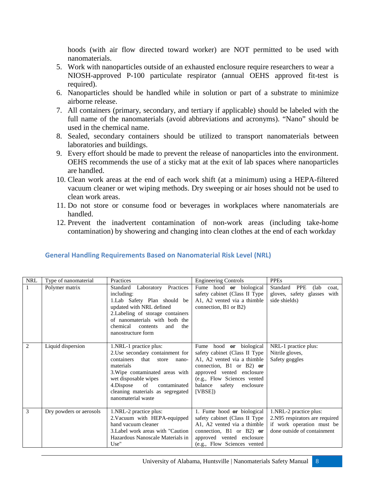hoods (with air flow directed toward worker) are NOT permitted to be used with nanomaterials.

- 5. Work with nanoparticles outside of an exhausted enclosure require researchers to wear a NIOSH-approved P-100 particulate respirator (annual OEHS approved fit-test is required).
- 6. Nanoparticles should be handled while in solution or part of a substrate to minimize airborne release.
- 7. All containers (primary, secondary, and tertiary if applicable) should be labeled with the full name of the nanomaterials (avoid abbreviations and acronyms). "Nano" should be used in the chemical name.
- 8. Sealed, secondary containers should be utilized to transport nanomaterials between laboratories and buildings.
- 9. Every effort should be made to prevent the release of nanoparticles into the environment. OEHS recommends the use of a sticky mat at the exit of lab spaces where nanoparticles are handled.
- 10. Clean work areas at the end of each work shift (at a minimum) using a HEPA-filtered vacuum cleaner or wet wiping methods. Dry sweeping or air hoses should not be used to clean work areas.
- 11. Do not store or consume food or beverages in workplaces where nanomaterials are handled.
- 12. Prevent the inadvertent contamination of non-work areas (including take-home contamination) by showering and changing into clean clothes at the end of each workday

| <b>NRL</b>     | Type of nanomaterial    | Practices                                                                                                                                                                                                                                                               | <b>Engineering Controls</b>                                                                                                                                                                                                            | <b>PPEs</b>                                                                                                          |
|----------------|-------------------------|-------------------------------------------------------------------------------------------------------------------------------------------------------------------------------------------------------------------------------------------------------------------------|----------------------------------------------------------------------------------------------------------------------------------------------------------------------------------------------------------------------------------------|----------------------------------------------------------------------------------------------------------------------|
| 1              | Polymer matrix          | Laboratory Practices<br>Standard<br>including:<br>1. Lab Safety Plan should be<br>updated with NRL defined<br>2. Labeling of storage containers<br>of nanomaterials with both the<br>chemical<br>the<br>and<br>contents<br>nanostructure form                           | Fume hood or biological<br>safety cabinet (Class II Type)<br>A1, A2 vented via a thimble<br>connection, B1 or B2)                                                                                                                      | Standard<br>PPE<br>(lab)<br>coat.<br>gloves, safety glasses<br>with<br>side shields)                                 |
| $\overline{2}$ | Liquid dispersion       | 1.NRL-1 practice plus:<br>2. Use secondary containment for<br>containers<br>that<br>store<br>nano-<br>materials<br>3. Wipe contaminated areas with<br>wet disposable wipes<br>4.Dispose<br>of<br>contaminated<br>cleaning materials as segregated<br>nanomaterial waste | Fume<br>hood <b>or</b> biological<br>safety cabinet (Class II Type)<br>A1, A2 vented via a thimble<br>connection, B1 or B2) or<br>approved vented enclosure<br>(e.g., Flow Sciences vented<br>balance<br>safety<br>enclosure<br>[VBSE] | NRL-1 practice plus:<br>Nitrile gloves,<br>Safety goggles                                                            |
| 3              | Dry powders or aerosols | 1.NRL-2 practice plus:<br>2. Vacuum with HEPA-equipped<br>hand vacuum cleaner<br>3. Label work areas with "Caution"<br>Hazardous Nanoscale Materials in<br>Use"                                                                                                         | 1. Fume hood or biological<br>safety cabinet (Class II Type<br>A1, A2 vented via a thimble<br>connection, B1 or B2) or<br>approved vented enclosure<br>(e.g., Flow Sciences vented                                                     | 1.NRL-2 practice plus:<br>2.N95 respirators are required<br>if work operation must be<br>done outside of containment |

## <span id="page-8-0"></span>**General Handling Requirements Based on Nanomaterial Risk Level (NRL)**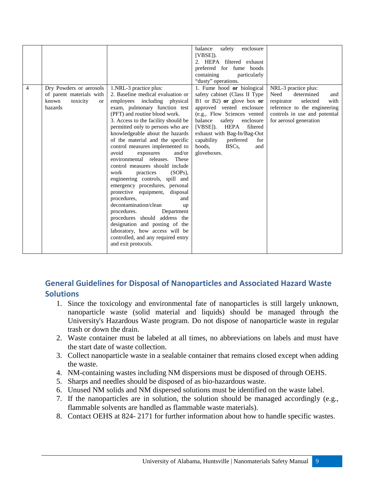| $\overline{4}$ | Dry Powders or aerosols<br>of parent materials with<br>known<br>toxicity<br><b>or</b><br>hazards | 1.NRL-3 practice plus:<br>2. Baseline medical evaluation or<br>employees including physical<br>exam, pulmonary function test<br>(PFT) and routine blood work.<br>3. Access to the facility should be<br>permitted only to persons who are<br>knowledgeable about the hazards<br>of the material and the specific<br>control measures implemented to<br>avoid<br>and/or<br>exposures<br>environmental releases.<br>These<br>control measures should include<br>$(SOPs)$ ,<br>work<br>practices<br>engineering controls, spill and<br>emergency procedures, personal<br>protective equipment, disposal<br>procedures,<br>and<br>decontamination/clean<br>up<br>procedures.<br>Department | balance<br>safety<br>enclosure<br>[VBSE]).<br>2. HEPA filtered exhaust<br>preferred for fume hoods<br>containing<br>particularly<br>"dusty" operations.<br>1. Fume hood or biological<br>safety cabinet (Class II Type)<br>B1 or B2) or glove box or<br>approved vented enclosure<br>(e.g., Flow Sciences vented<br>balance<br>safety<br>enclosure<br>$[VBSE]$ ).<br>HEPA<br>filtered<br>exhaust with Bag-In/Bag-Out<br>capability<br>preferred<br>for<br>hoods.<br>BSC <sub>s</sub><br>and<br>gloveboxes. | NRL-3 practice plus:<br>Need<br>determined<br>and<br>selected<br>respirator<br>with<br>reference to the engineering<br>controls in use and potential<br>for aerosol generation |
|----------------|--------------------------------------------------------------------------------------------------|----------------------------------------------------------------------------------------------------------------------------------------------------------------------------------------------------------------------------------------------------------------------------------------------------------------------------------------------------------------------------------------------------------------------------------------------------------------------------------------------------------------------------------------------------------------------------------------------------------------------------------------------------------------------------------------|------------------------------------------------------------------------------------------------------------------------------------------------------------------------------------------------------------------------------------------------------------------------------------------------------------------------------------------------------------------------------------------------------------------------------------------------------------------------------------------------------------|--------------------------------------------------------------------------------------------------------------------------------------------------------------------------------|
|                |                                                                                                  | procedures should address the<br>designation and posting of the<br>laboratory, how access will be<br>controlled, and any required entry                                                                                                                                                                                                                                                                                                                                                                                                                                                                                                                                                |                                                                                                                                                                                                                                                                                                                                                                                                                                                                                                            |                                                                                                                                                                                |
|                |                                                                                                  | and exit protocols.                                                                                                                                                                                                                                                                                                                                                                                                                                                                                                                                                                                                                                                                    |                                                                                                                                                                                                                                                                                                                                                                                                                                                                                                            |                                                                                                                                                                                |

# <span id="page-9-0"></span>**General Guidelines for Disposal of Nanoparticles and Associated Hazard Waste Solutions**

- 1. Since the toxicology and environmental fate of nanoparticles is still largely unknown, nanoparticle waste (solid material and liquids) should be managed through the University's Hazardous Waste program. Do not dispose of nanoparticle waste in regular trash or down the drain.
- 2. Waste container must be labeled at all times, no abbreviations on labels and must have the start date of waste collection.
- 3. Collect nanoparticle waste in a sealable container that remains closed except when adding the waste.
- 4. NM-containing wastes including NM dispersions must be disposed of through OEHS.
- 5. Sharps and needles should be disposed of as bio-hazardous waste.
- 6. Unused NM solids and NM dispersed solutions must be identified on the waste label.
- 7. If the nanoparticles are in solution, the solution should be managed accordingly (e.g., flammable solvents are handled as flammable waste materials).
- 8. Contact OEHS at 824- 2171 for further information about how to handle specific wastes.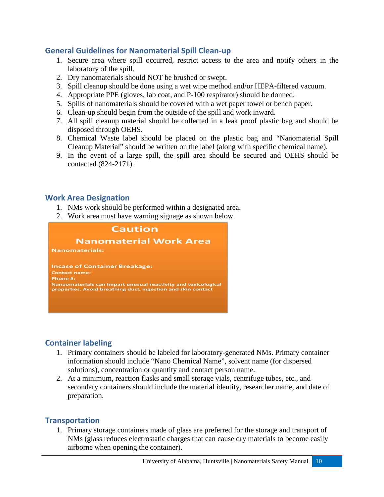# <span id="page-10-0"></span>**General Guidelines for Nanomaterial Spill Clean-up**

- 1. Secure area where spill occurred, restrict access to the area and notify others in the laboratory of the spill.
- 2. Dry nanomaterials should NOT be brushed or swept.
- 3. Spill cleanup should be done using a wet wipe method and/or HEPA-filtered vacuum.
- 4. Appropriate PPE (gloves, lab coat, and P-100 respirator) should be donned.
- 5. Spills of nanomaterials should be covered with a wet paper towel or bench paper.
- 6. Clean-up should begin from the outside of the spill and work inward.
- 7. All spill cleanup material should be collected in a leak proof plastic bag and should be disposed through OEHS.
- 8. Chemical Waste label should be placed on the plastic bag and "Nanomaterial Spill Cleanup Material" should be written on the label (along with specific chemical name).
- 9. In the event of a large spill, the spill area should be secured and OEHS should be contacted (824-2171).

## <span id="page-10-1"></span>**Work Area Designation**

- 1. NMs work should be performed within a designated area.
- 2. Work area must have warning signage as shown below.



# <span id="page-10-2"></span>**Container labeling**

- 1. Primary containers should be labeled for laboratory-generated NMs. Primary container information should include "Nano Chemical Name", solvent name (for dispersed solutions), concentration or quantity and contact person name.
- 2. At a minimum, reaction flasks and small storage vials, centrifuge tubes, etc., and secondary containers should include the material identity, researcher name, and date of preparation.

## <span id="page-10-3"></span>**Transportation**

1. Primary storage containers made of glass are preferred for the storage and transport of NMs (glass reduces electrostatic charges that can cause dry materials to become easily airborne when opening the container).